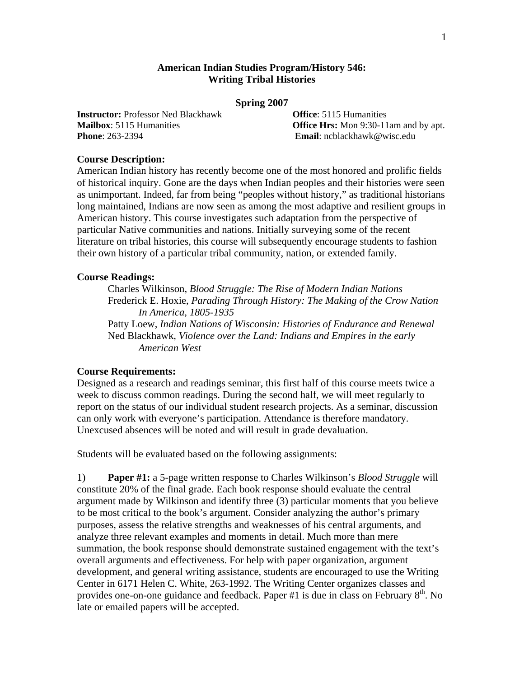# **American Indian Studies Program/History 546: Writing Tribal Histories**

#### **Spring 2007**

**Instructor:** Professor Ned Blackhawk **Office**: 5115 Humanities **Phone**: 263-2394 **Email**: ncblackhawk@wisc.edu

**Mailbox**: 5115 Humanities **Collection Contract Contract Properties Office Hrs:** Mon 9:30-11am and by apt.

## **Course Description:**

American Indian history has recently become one of the most honored and prolific fields of historical inquiry. Gone are the days when Indian peoples and their histories were seen as unimportant. Indeed, far from being "peoples without history," as traditional historians long maintained, Indians are now seen as among the most adaptive and resilient groups in American history. This course investigates such adaptation from the perspective of particular Native communities and nations. Initially surveying some of the recent literature on tribal histories, this course will subsequently encourage students to fashion their own history of a particular tribal community, nation, or extended family.

### **Course Readings:**

 Charles Wilkinson, *Blood Struggle: The Rise of Modern Indian Nations*  Frederick E. Hoxie, *Parading Through History: The Making of the Crow Nation In America, 1805-1935*  Patty Loew, *Indian Nations of Wisconsin: Histories of Endurance and Renewal*  Ned Blackhawk, *Violence over the Land: Indians and Empires in the early American West* 

## **Course Requirements:**

Designed as a research and readings seminar, this first half of this course meets twice a week to discuss common readings. During the second half, we will meet regularly to report on the status of our individual student research projects. As a seminar, discussion can only work with everyone's participation. Attendance is therefore mandatory. Unexcused absences will be noted and will result in grade devaluation.

Students will be evaluated based on the following assignments:

1) **Paper #1:** a 5-page written response to Charles Wilkinson's *Blood Struggle* will constitute 20% of the final grade. Each book response should evaluate the central argument made by Wilkinson and identify three (3) particular moments that you believe to be most critical to the book's argument. Consider analyzing the author's primary purposes, assess the relative strengths and weaknesses of his central arguments, and analyze three relevant examples and moments in detail. Much more than mere summation, the book response should demonstrate sustained engagement with the text's overall arguments and effectiveness. For help with paper organization, argument development, and general writing assistance, students are encouraged to use the Writing Center in 6171 Helen C. White, 263-1992. The Writing Center organizes classes and provides one-on-one guidance and feedback. Paper #1 is due in class on February  $8<sup>th</sup>$ . No late or emailed papers will be accepted.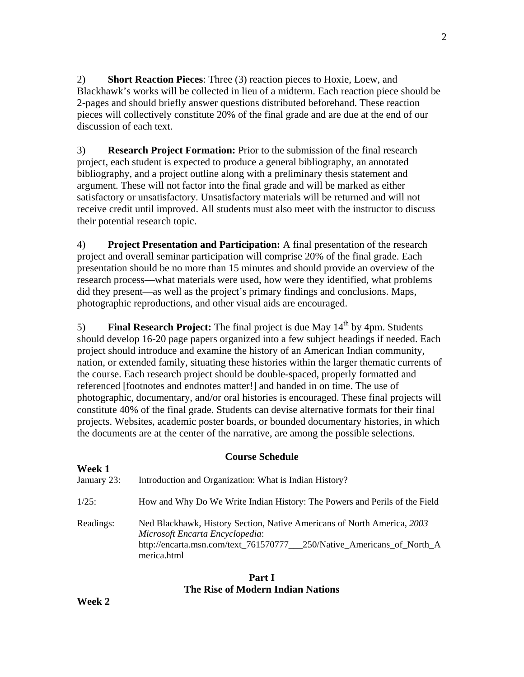2) **Short Reaction Pieces**: Three (3) reaction pieces to Hoxie, Loew, and Blackhawk's works will be collected in lieu of a midterm. Each reaction piece should be 2-pages and should briefly answer questions distributed beforehand. These reaction pieces will collectively constitute 20% of the final grade and are due at the end of our discussion of each text.

3) **Research Project Formation:** Prior to the submission of the final research project, each student is expected to produce a general bibliography, an annotated bibliography, and a project outline along with a preliminary thesis statement and argument. These will not factor into the final grade and will be marked as either satisfactory or unsatisfactory. Unsatisfactory materials will be returned and will not receive credit until improved. All students must also meet with the instructor to discuss their potential research topic.

4) **Project Presentation and Participation:** A final presentation of the research project and overall seminar participation will comprise 20% of the final grade. Each presentation should be no more than 15 minutes and should provide an overview of the research process—what materials were used, how were they identified, what problems did they present—as well as the project's primary findings and conclusions. Maps, photographic reproductions, and other visual aids are encouraged.

5) **Final Research Project:** The final project is due May 14<sup>th</sup> by 4pm. Students should develop 16-20 page papers organized into a few subject headings if needed. Each project should introduce and examine the history of an American Indian community, nation, or extended family, situating these histories within the larger thematic currents of the course. Each research project should be double-spaced, properly formatted and referenced [footnotes and endnotes matter!] and handed in on time. The use of photographic, documentary, and/or oral histories is encouraged. These final projects will constitute 40% of the final grade. Students can devise alternative formats for their final projects. Websites, academic poster boards, or bounded documentary histories, in which the documents are at the center of the narrative, are among the possible selections.

# **Course Schedule**

| Week 1<br>January 23: | Introduction and Organization: What is Indian History?                                                                                                                                               |
|-----------------------|------------------------------------------------------------------------------------------------------------------------------------------------------------------------------------------------------|
| $1/25$ :              | How and Why Do We Write Indian History: The Powers and Perils of the Field                                                                                                                           |
| Readings:             | Ned Blackhawk, History Section, Native Americans of North America, 2003<br>Microsoft Encarta Encyclopedia:<br>http://encarta.msn.com/text_761570777___250/Native_Americans_of_North_A<br>merica.html |

# **Part I The Rise of Modern Indian Nations**

**Week 2**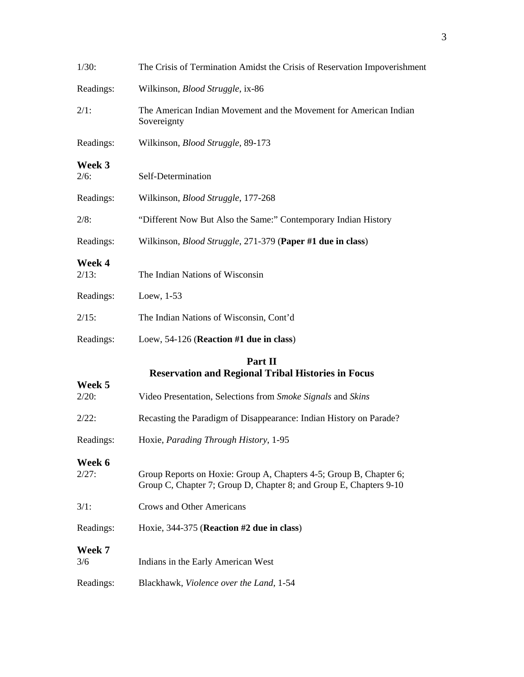| 1/30:              | The Crisis of Termination Amidst the Crisis of Reservation Impoverishment                                                                |
|--------------------|------------------------------------------------------------------------------------------------------------------------------------------|
| Readings:          | Wilkinson, <i>Blood Struggle</i> , ix-86                                                                                                 |
| 2/1:               | The American Indian Movement and the Movement for American Indian<br>Sovereignty                                                         |
| Readings:          | Wilkinson, Blood Struggle, 89-173                                                                                                        |
| Week 3<br>2/6:     | Self-Determination                                                                                                                       |
| Readings:          | Wilkinson, Blood Struggle, 177-268                                                                                                       |
| 2/8:               | "Different Now But Also the Same:" Contemporary Indian History                                                                           |
| Readings:          | Wilkinson, <i>Blood Struggle</i> , 271-379 (Paper #1 due in class)                                                                       |
| Week 4<br>$2/13$ : | The Indian Nations of Wisconsin                                                                                                          |
| Readings:          | Loew, $1-53$                                                                                                                             |
| $2/15$ :           | The Indian Nations of Wisconsin, Cont'd                                                                                                  |
| Readings:          | Loew, $54-126$ (Reaction #1 due in class)                                                                                                |
|                    | Part II<br><b>Reservation and Regional Tribal Histories in Focus</b>                                                                     |
| Week 5<br>2/20:    | Video Presentation, Selections from Smoke Signals and Skins                                                                              |
| 2/22:              | Recasting the Paradigm of Disappearance: Indian History on Parade?                                                                       |
| Readings:          | Hoxie, Parading Through History, 1-95                                                                                                    |
| Week 6<br>2/27:    | Group Reports on Hoxie: Group A, Chapters 4-5; Group B, Chapter 6;<br>Group C, Chapter 7; Group D, Chapter 8; and Group E, Chapters 9-10 |
| 3/1:               | <b>Crows and Other Americans</b>                                                                                                         |
| Readings:          | Hoxie, 344-375 (Reaction #2 due in class)                                                                                                |
| Week 7<br>3/6      | Indians in the Early American West                                                                                                       |
| Readings:          | Blackhawk, Violence over the Land, 1-54                                                                                                  |